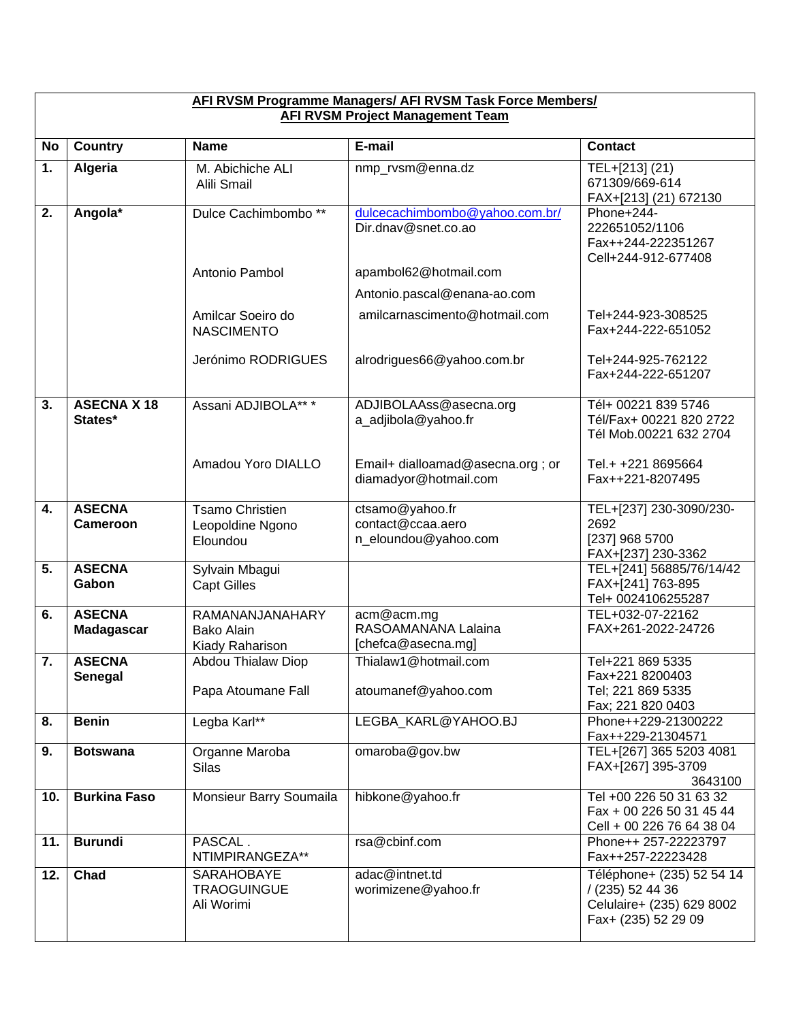| AFI RVSM Programme Managers/ AFI RVSM Task Force Members/<br><b>AFI RVSM Project Management Team</b> |                                    |                                                         |                                                              |                                                                                                   |  |
|------------------------------------------------------------------------------------------------------|------------------------------------|---------------------------------------------------------|--------------------------------------------------------------|---------------------------------------------------------------------------------------------------|--|
| <b>No</b>                                                                                            | <b>Country</b>                     | <b>Name</b>                                             | E-mail                                                       | <b>Contact</b>                                                                                    |  |
| 1.                                                                                                   | Algeria                            | M. Abichiche ALI<br>Alili Smail                         | nmp rvsm@enna.dz                                             | TEL+[213] (21)<br>671309/669-614<br>FAX+[213] (21) 672130                                         |  |
| 2.                                                                                                   | Angola*                            | Dulce Cachimbombo <sup>**</sup>                         | dulcecachimbombo@yahoo.com.br/<br>Dir.dnav@snet.co.ao        | Phone+244-<br>222651052/1106<br>Fax++244-222351267<br>Cell+244-912-677408                         |  |
|                                                                                                      |                                    | Antonio Pambol                                          | apambol62@hotmail.com<br>Antonio.pascal@enana-ao.com         |                                                                                                   |  |
|                                                                                                      |                                    | Amilcar Soeiro do<br><b>NASCIMENTO</b>                  | amilcarnascimento@hotmail.com                                | Tel+244-923-308525<br>Fax+244-222-651052                                                          |  |
|                                                                                                      |                                    | Jerónimo RODRIGUES                                      | alrodrigues66@yahoo.com.br                                   | Tel+244-925-762122<br>Fax+244-222-651207                                                          |  |
| 3.                                                                                                   | <b>ASECNA X 18</b><br>States*      | Assani ADJIBOLA** *                                     | ADJIBOLAAss@asecna.org<br>a_adjibola@yahoo.fr                | Tél+ 00221 839 5746<br>Tél/Fax+ 00221 820 2722<br>Tél Mob.00221 632 2704                          |  |
|                                                                                                      |                                    | Amadou Yoro DIALLO                                      | Email+ dialloamad@asecna.org; or<br>diamadyor@hotmail.com    | Tel.+ +221 8695664<br>Fax++221-8207495                                                            |  |
| 4.                                                                                                   | <b>ASECNA</b><br><b>Cameroon</b>   | <b>Tsamo Christien</b><br>Leopoldine Ngono<br>Eloundou  | ctsamo@yahoo.fr<br>contact@ccaa.aero<br>n_eloundou@yahoo.com | TEL+[237] 230-3090/230-<br>2692<br>[237] 968 5700<br>FAX+[237] 230-3362                           |  |
| 5.                                                                                                   | <b>ASECNA</b><br>Gabon             | Sylvain Mbagui<br><b>Capt Gilles</b>                    |                                                              | TEL+[241] 56885/76/14/42<br>FAX+[241] 763-895<br>Tel+ 0024106255287                               |  |
| 6.                                                                                                   | <b>ASECNA</b><br><b>Madagascar</b> | RAMANANJANAHARY<br><b>Bako Alain</b><br>Kiady Raharison | acm@acm.mg<br>RASOAMANANA Lalaina<br>[chefca@asecna.mg]      | TEL+032-07-22162<br>FAX+261-2022-24726                                                            |  |
| 7.                                                                                                   | <b>ASECNA</b><br><b>Senegal</b>    | Abdou Thialaw Diop<br>Papa Atoumane Fall                | Thialaw1@hotmail.com<br>atoumanef@yahoo.com                  | Tel+221 869 5335<br>Fax+221 8200403<br>Tel; 221 869 5335<br>Fax; 221 820 0403                     |  |
| 8.                                                                                                   | <b>Benin</b>                       | Legba Karl**                                            | LEGBA_KARL@YAHOO.BJ                                          | Phone++229-21300222<br>Fax++229-21304571                                                          |  |
| 9.                                                                                                   | <b>Botswana</b>                    | Organne Maroba<br><b>Silas</b>                          | omaroba@gov.bw                                               | TEL+[267] 365 5203 4081<br>FAX+[267] 395-3709<br>3643100                                          |  |
| 10.                                                                                                  | <b>Burkina Faso</b>                | Monsieur Barry Soumaila                                 | hibkone@yahoo.fr                                             | Tel +00 226 50 31 63 32<br>Fax + 00 226 50 31 45 44<br>Cell + 00 226 76 64 38 04                  |  |
| 11.                                                                                                  | <b>Burundi</b>                     | PASCAL.<br>NTIMPIRANGEZA**                              | rsa@cbinf.com                                                | Phone++ 257-22223797<br>Fax++257-22223428                                                         |  |
| 12.                                                                                                  | Chad                               | SARAHOBAYE<br><b>TRAOGUINGUE</b><br>Ali Worimi          | adac@intnet.td<br>worimizene@yahoo.fr                        | Téléphone+ (235) 52 54 14<br>/ (235) 52 44 36<br>Celulaire+ (235) 629 8002<br>Fax+ (235) 52 29 09 |  |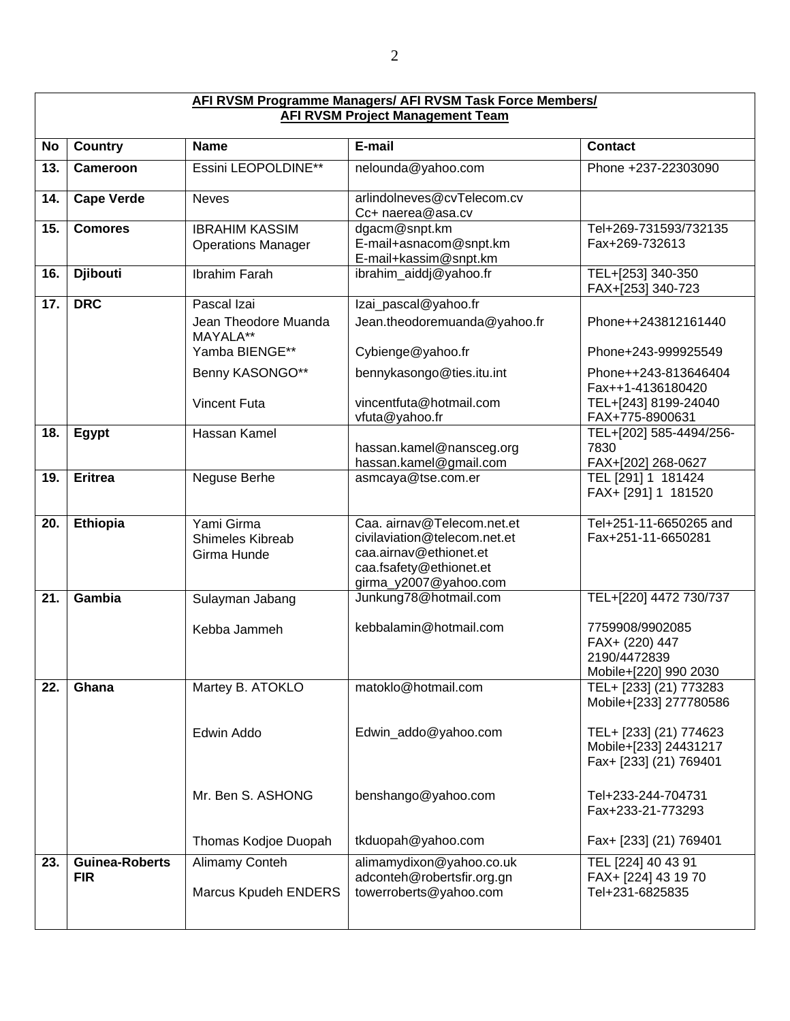| AFI RVSM Programme Managers/ AFI RVSM Task Force Members/<br><b>AFI RVSM Project Management Team</b> |                                     |                                                      |                                                                                                                                          |                                                                            |  |
|------------------------------------------------------------------------------------------------------|-------------------------------------|------------------------------------------------------|------------------------------------------------------------------------------------------------------------------------------------------|----------------------------------------------------------------------------|--|
| <b>No</b>                                                                                            | <b>Country</b>                      | <b>Name</b>                                          | E-mail                                                                                                                                   | <b>Contact</b>                                                             |  |
| 13.                                                                                                  | Cameroon                            | Essini LEOPOLDINE**                                  | nelounda@yahoo.com                                                                                                                       | Phone +237-22303090                                                        |  |
| 14.                                                                                                  | <b>Cape Verde</b>                   | <b>Neves</b>                                         | arlindolneves@cvTelecom.cv<br>Cc+ naerea@asa.cv                                                                                          |                                                                            |  |
| 15.                                                                                                  | <b>Comores</b>                      | <b>IBRAHIM KASSIM</b><br><b>Operations Manager</b>   | dgacm@snpt.km<br>E-mail+asnacom@snpt.km<br>E-mail+kassim@snpt.km                                                                         | Tel+269-731593/732135<br>Fax+269-732613                                    |  |
| 16.                                                                                                  | <b>Djibouti</b>                     | <b>Ibrahim Farah</b>                                 | ibrahim_aiddj@yahoo.fr                                                                                                                   | TEL+[253] 340-350<br>FAX+[253] 340-723                                     |  |
| 17.                                                                                                  | <b>DRC</b>                          | Pascal Izai                                          | Izai_pascal@yahoo.fr                                                                                                                     |                                                                            |  |
|                                                                                                      |                                     | Jean Theodore Muanda<br>MAYALA**                     | Jean.theodoremuanda@yahoo.fr                                                                                                             | Phone++243812161440                                                        |  |
|                                                                                                      |                                     | Yamba BIENGE**                                       | Cybienge@yahoo.fr                                                                                                                        | Phone+243-999925549                                                        |  |
|                                                                                                      |                                     | Benny KASONGO**                                      | bennykasongo@ties.itu.int                                                                                                                | Phone++243-813646404<br>Fax++1-4136180420                                  |  |
|                                                                                                      |                                     | <b>Vincent Futa</b>                                  | vincentfuta@hotmail.com<br>vfuta@yahoo.fr                                                                                                | TEL+[243] 8199-24040<br>FAX+775-8900631                                    |  |
| 18.                                                                                                  | Egypt                               | Hassan Kamel                                         | hassan.kamel@nansceg.org<br>hassan.kamel@gmail.com                                                                                       | TEL+[202] 585-4494/256-<br>7830<br>FAX+[202] 268-0627                      |  |
| 19.                                                                                                  | <b>Eritrea</b>                      | Neguse Berhe                                         | asmcaya@tse.com.er                                                                                                                       | TEL [291] 1 181424<br>FAX+ [291] 1 181520                                  |  |
| 20.                                                                                                  | Ethiopia                            | Yami Girma<br><b>Shimeles Kibreab</b><br>Girma Hunde | Caa. airnav@Telecom.net.et<br>civilaviation@telecom.net.et<br>caa.airnav@ethionet.et<br>caa.fsafety@ethionet.et<br>girma_y2007@yahoo.com | Tel+251-11-6650265 and<br>Fax+251-11-6650281                               |  |
| 21.                                                                                                  | Gambia                              | Sulayman Jabang                                      | Junkung78@hotmail.com                                                                                                                    | TEL+[220] 4472 730/737                                                     |  |
|                                                                                                      |                                     | Kebba Jammeh                                         | kebbalamin@hotmail.com                                                                                                                   | 7759908/9902085<br>FAX+ (220) 447<br>2190/4472839<br>Mobile+[220] 990 2030 |  |
| 22.                                                                                                  | Ghana                               | Martey B. ATOKLO                                     | matoklo@hotmail.com                                                                                                                      | TEL+ [233] (21) 773283<br>Mobile+[233] 277780586                           |  |
|                                                                                                      |                                     | Edwin Addo                                           | Edwin_addo@yahoo.com                                                                                                                     | TEL+ [233] (21) 774623<br>Mobile+[233] 24431217<br>Fax+ [233] (21) 769401  |  |
|                                                                                                      |                                     | Mr. Ben S. ASHONG                                    | benshango@yahoo.com                                                                                                                      | Tel+233-244-704731<br>Fax+233-21-773293                                    |  |
|                                                                                                      |                                     | Thomas Kodjoe Duopah                                 | tkduopah@yahoo.com                                                                                                                       | Fax+ [233] (21) 769401                                                     |  |
| 23.                                                                                                  | <b>Guinea-Roberts</b><br><b>FIR</b> | Alimamy Conteh<br>Marcus Kpudeh ENDERS               | alimamydixon@yahoo.co.uk<br>adconteh@robertsfir.org.gn<br>towerroberts@yahoo.com                                                         | TEL [224] 40 43 91<br>FAX+ [224] 43 19 70<br>Tel+231-6825835               |  |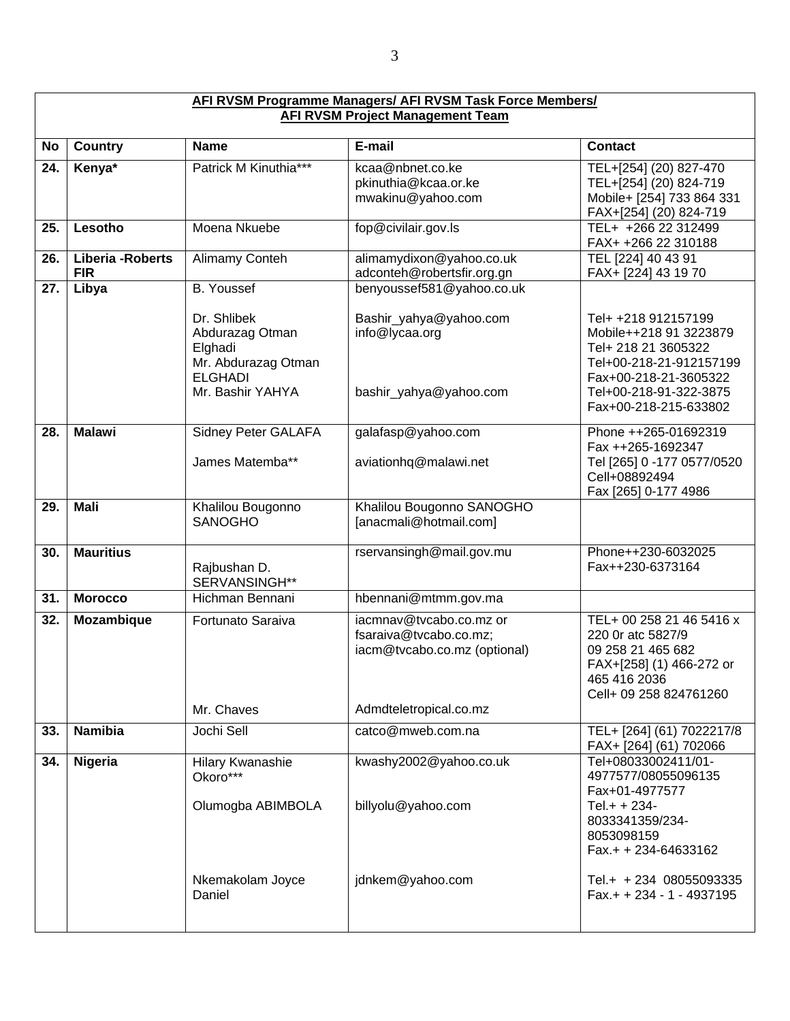| <b>AFI RVSM Programme Managers/ AFI RVSM Task Force Members/</b><br><b>AFI RVSM Project Management Team</b> |                                 |                                                                                                        |                                                                                   |                                                                                                                                                                             |  |  |
|-------------------------------------------------------------------------------------------------------------|---------------------------------|--------------------------------------------------------------------------------------------------------|-----------------------------------------------------------------------------------|-----------------------------------------------------------------------------------------------------------------------------------------------------------------------------|--|--|
| <b>No</b>                                                                                                   | <b>Country</b>                  | <b>Name</b>                                                                                            | E-mail                                                                            | <b>Contact</b>                                                                                                                                                              |  |  |
| 24.                                                                                                         | Kenya*                          | Patrick M Kinuthia***                                                                                  | kcaa@nbnet.co.ke<br>pkinuthia@kcaa.or.ke<br>mwakinu@yahoo.com                     | TEL+[254] (20) 827-470<br>TEL+[254] (20) 824-719<br>Mobile+ [254] 733 864 331<br>FAX+[254] (20) 824-719                                                                     |  |  |
| 25.                                                                                                         | Lesotho                         | Moena Nkuebe                                                                                           | fop@civilair.gov.ls                                                               | TEL+ +266 22 312499<br>FAX+ +266 22 310188                                                                                                                                  |  |  |
| 26.                                                                                                         | Liberia - Roberts<br><b>FIR</b> | Alimamy Conteh                                                                                         | alimamydixon@yahoo.co.uk<br>adconteh@robertsfir.org.gn                            | TEL [224] 40 43 91<br>FAX+ [224] 43 19 70                                                                                                                                   |  |  |
| 27.                                                                                                         | Libya                           | <b>B.</b> Youssef                                                                                      | benyoussef581@yahoo.co.uk                                                         |                                                                                                                                                                             |  |  |
|                                                                                                             |                                 | Dr. Shlibek<br>Abdurazag Otman<br>Elghadi<br>Mr. Abdurazag Otman<br><b>ELGHADI</b><br>Mr. Bashir YAHYA | Bashir_yahya@yahoo.com<br>info@lycaa.org<br>bashir_yahya@yahoo.com                | Tel+ +218 912157199<br>Mobile++218 91 3223879<br>Tel+ 218 21 3605322<br>Tel+00-218-21-912157199<br>Fax+00-218-21-3605322<br>Tel+00-218-91-322-3875<br>Fax+00-218-215-633802 |  |  |
| 28.                                                                                                         | <b>Malawi</b>                   | Sidney Peter GALAFA                                                                                    | galafasp@yahoo.com                                                                | Phone ++265-01692319                                                                                                                                                        |  |  |
|                                                                                                             |                                 | James Matemba**                                                                                        | aviationhq@malawi.net                                                             | Fax ++265-1692347<br>Tel [265] 0 -177 0577/0520<br>Cell+08892494<br>Fax [265] 0-177 4986                                                                                    |  |  |
| 29.                                                                                                         | <b>Mali</b>                     | Khalilou Bougonno<br><b>SANOGHO</b>                                                                    | Khalilou Bougonno SANOGHO<br>[anacmali@hotmail.com]                               |                                                                                                                                                                             |  |  |
| 30.                                                                                                         | <b>Mauritius</b>                | Rajbushan D.<br>SERVANSINGH**                                                                          | rservansingh@mail.gov.mu                                                          | Phone++230-6032025<br>Fax++230-6373164                                                                                                                                      |  |  |
| 31.                                                                                                         | <b>Morocco</b>                  | Hichman Bennani                                                                                        | hbennani@mtmm.gov.ma                                                              |                                                                                                                                                                             |  |  |
| 32.                                                                                                         | Mozambique                      | Fortunato Saraiva                                                                                      | iacmnav@tvcabo.co.mz or<br>fsaraiva@tvcabo.co.mz;<br>iacm@tvcabo.co.mz (optional) | TEL+ 00 258 21 46 5416 x<br>220 Or atc 5827/9<br>09 258 21 465 682<br>FAX+[258] (1) 466-272 or<br>465 416 2036<br>Cell+ 09 258 824761260                                    |  |  |
|                                                                                                             |                                 | Mr. Chaves                                                                                             | Admdteletropical.co.mz                                                            |                                                                                                                                                                             |  |  |
| 33.                                                                                                         | <b>Namibia</b>                  | Jochi Sell                                                                                             | catco@mweb.com.na                                                                 | TEL+ [264] (61) 7022217/8<br>FAX+ [264] (61) 702066                                                                                                                         |  |  |
| 34.                                                                                                         | Nigeria                         | Hilary Kwanashie<br>Okoro***<br>Olumogba ABIMBOLA                                                      | kwashy2002@yahoo.co.uk<br>billyolu@yahoo.com                                      | Tel+08033002411/01-<br>4977577/08055096135<br>Fax+01-4977577<br>Tel.+ + 234-<br>8033341359/234-<br>8053098159<br>Fax.+ + 234-64633162                                       |  |  |
|                                                                                                             |                                 | Nkemakolam Joyce<br>Daniel                                                                             | jdnkem@yahoo.com                                                                  | Tel.+ + 234 08055093335<br>$Fax.++234-1-4937195$                                                                                                                            |  |  |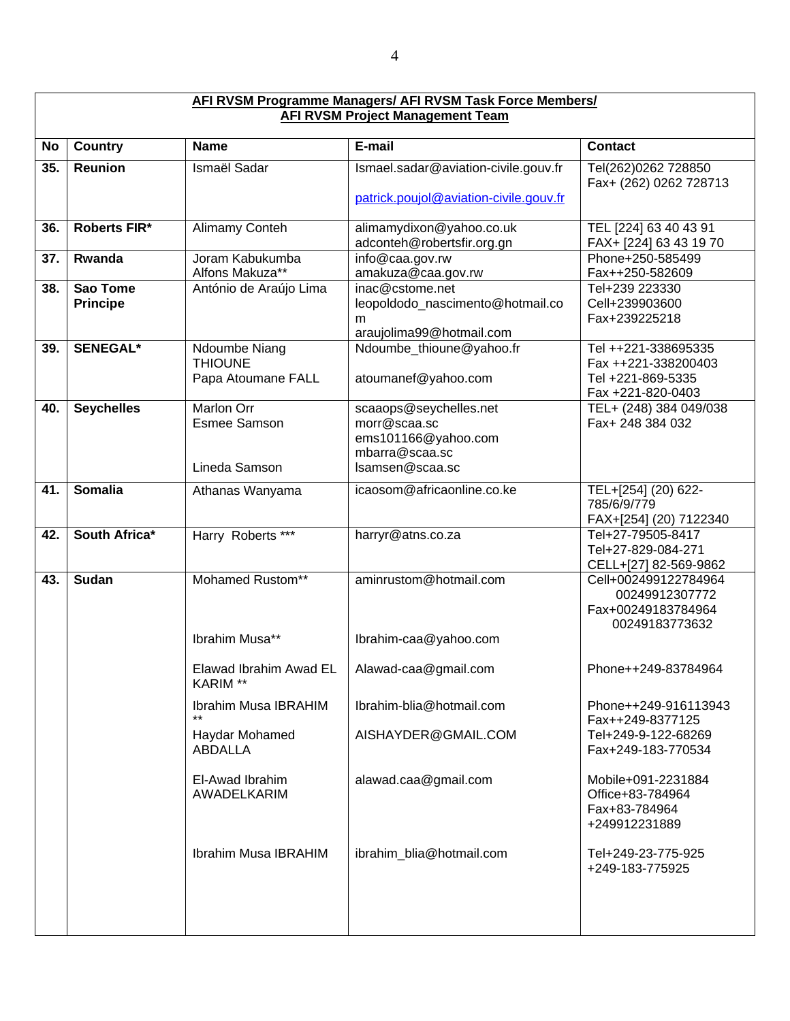|     | <b>AFI RVSM Programme Managers/ AFI RVSM Task Force Members/</b><br><b>AFI RVSM Project Management Team</b> |                                                           |                                                                                                    |                                                                                      |  |  |  |
|-----|-------------------------------------------------------------------------------------------------------------|-----------------------------------------------------------|----------------------------------------------------------------------------------------------------|--------------------------------------------------------------------------------------|--|--|--|
| No  | <b>Country</b>                                                                                              | <b>Name</b>                                               | E-mail                                                                                             | <b>Contact</b>                                                                       |  |  |  |
| 35. | Reunion                                                                                                     | Ismaël Sadar                                              | Ismael.sadar@aviation-civile.gouv.fr<br>patrick.poujol@aviation-civile.gouv.fr                     | Tel(262)0262 728850<br>Fax+ (262) 0262 728713                                        |  |  |  |
| 36. | Roberts FIR*                                                                                                | Alimamy Conteh                                            | alimamydixon@yahoo.co.uk<br>adconteh@robertsfir.org.gn                                             | TEL [224] 63 40 43 91<br>FAX+ [224] 63 43 19 70                                      |  |  |  |
| 37. | Rwanda                                                                                                      | Joram Kabukumba<br>Alfons Makuza**                        | info@caa.gov.rw<br>amakuza@caa.gov.rw                                                              | Phone+250-585499<br>Fax++250-582609                                                  |  |  |  |
| 38. | Sao Tome<br><b>Principe</b>                                                                                 | António de Araújo Lima                                    | inac@cstome.net<br>leopoldodo_nascimento@hotmail.co<br>m<br>araujolima99@hotmail.com               | Tel+239 223330<br>Cell+239903600<br>Fax+239225218                                    |  |  |  |
| 39. | <b>SENEGAL*</b>                                                                                             | Ndoumbe Niang<br><b>THIOUNE</b><br>Papa Atoumane FALL     | Ndoumbe_thioune@yahoo.fr<br>atoumanef@yahoo.com                                                    | Tel ++221-338695335<br>Fax ++221-338200403<br>Tel +221-869-5335<br>Fax +221-820-0403 |  |  |  |
| 40. | <b>Seychelles</b>                                                                                           | <b>Marlon Orr</b><br><b>Esmee Samson</b><br>Lineda Samson | scaaops@seychelles.net<br>morr@scaa.sc<br>ems101166@yahoo.com<br>mbarra@scaa.sc<br>Isamsen@scaa.sc | TEL+ (248) 384 049/038<br>Fax+ 248 384 032                                           |  |  |  |
| 41. | <b>Somalia</b>                                                                                              | Athanas Wanyama                                           | icaosom@africaonline.co.ke                                                                         | TEL+[254] (20) 622-<br>785/6/9/779<br>FAX+[254] (20) 7122340                         |  |  |  |
| 42. | South Africa*                                                                                               | Harry Roberts ***                                         | harryr@atns.co.za                                                                                  | Tel+27-79505-8417<br>Tel+27-829-084-271<br>CELL+[27] 82-569-9862                     |  |  |  |
| 43. | <b>Sudan</b>                                                                                                | Mohamed Rustom**                                          | aminrustom@hotmail.com                                                                             | Cell+002499122784964<br>00249912307772<br>Fax+00249183784964<br>00249183773632       |  |  |  |
|     |                                                                                                             | Ibrahim Musa**                                            | Ibrahim-caa@yahoo.com                                                                              |                                                                                      |  |  |  |
|     |                                                                                                             | Elawad Ibrahim Awad EL<br>KARIM **                        | Alawad-caa@gmail.com                                                                               | Phone++249-83784964                                                                  |  |  |  |
|     |                                                                                                             | Ibrahim Musa IBRAHIM                                      | Ibrahim-blia@hotmail.com                                                                           | Phone++249-916113943<br>Fax++249-8377125                                             |  |  |  |
|     |                                                                                                             | Haydar Mohamed<br><b>ABDALLA</b>                          | AISHAYDER@GMAIL.COM                                                                                | Tel+249-9-122-68269<br>Fax+249-183-770534                                            |  |  |  |
|     |                                                                                                             | El-Awad Ibrahim<br>AWADELKARIM                            | alawad.caa@gmail.com                                                                               | Mobile+091-2231884<br>Office+83-784964<br>Fax+83-784964<br>+249912231889             |  |  |  |
|     |                                                                                                             | Ibrahim Musa IBRAHIM                                      | ibrahim_blia@hotmail.com                                                                           | Tel+249-23-775-925<br>+249-183-775925                                                |  |  |  |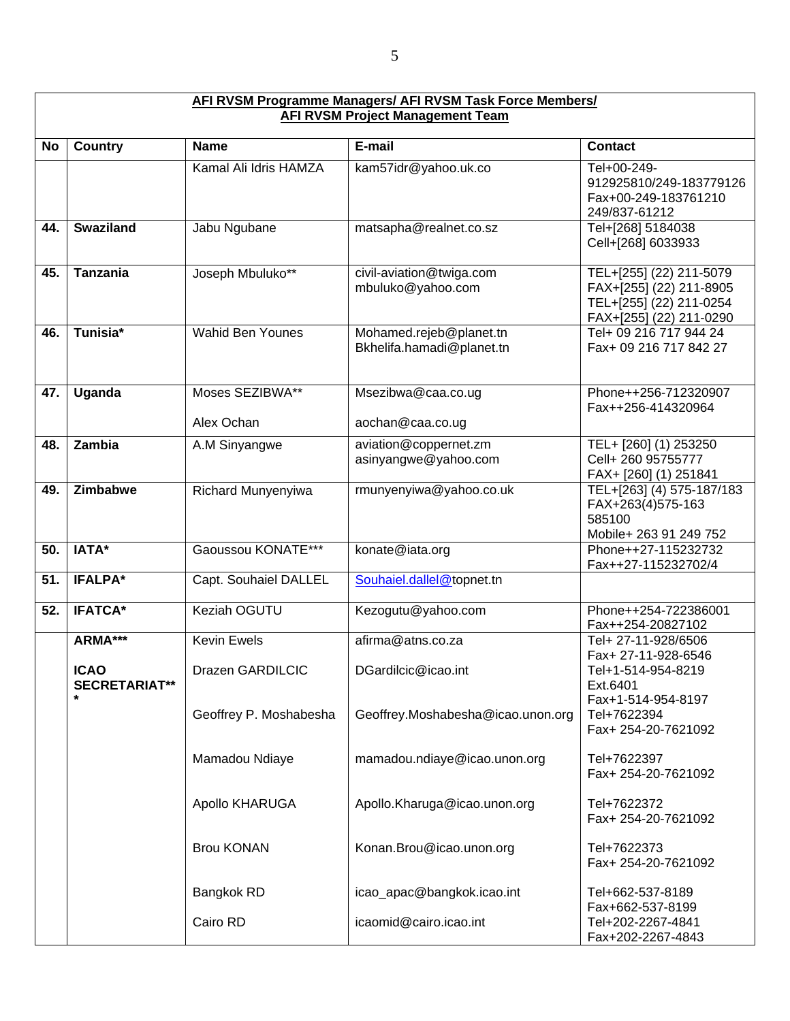|           | <b>AFI RVSM Programme Managers/ AFI RVSM Task Force Members/</b><br><b>AFI RVSM Project Management Team</b> |                                        |                                                      |                                                                                                          |  |  |
|-----------|-------------------------------------------------------------------------------------------------------------|----------------------------------------|------------------------------------------------------|----------------------------------------------------------------------------------------------------------|--|--|
| <b>No</b> | <b>Country</b>                                                                                              | <b>Name</b>                            | E-mail                                               | <b>Contact</b>                                                                                           |  |  |
|           |                                                                                                             | Kamal Ali Idris HAMZA                  | kam57idr@yahoo.uk.co                                 | Tel+00-249-<br>912925810/249-183779126<br>Fax+00-249-183761210<br>249/837-61212                          |  |  |
| 44.       | <b>Swaziland</b>                                                                                            | Jabu Ngubane                           | matsapha@realnet.co.sz                               | Tel+[268] 5184038<br>Cell+[268] 6033933                                                                  |  |  |
| 45.       | <b>Tanzania</b>                                                                                             | Joseph Mbuluko**                       | civil-aviation@twiga.com<br>mbuluko@yahoo.com        | TEL+[255] (22) 211-5079<br>FAX+[255] (22) 211-8905<br>TEL+[255] (22) 211-0254<br>FAX+[255] (22) 211-0290 |  |  |
| 46.       | Tunisia <sup>*</sup>                                                                                        | <b>Wahid Ben Younes</b>                | Mohamed.rejeb@planet.tn<br>Bkhelifa.hamadi@planet.tn | Tel+ 09 216 717 944 24<br>Fax+ 09 216 717 842 27                                                         |  |  |
| 47.       | Uganda                                                                                                      | Moses SEZIBWA**<br>Alex Ochan          | Msezibwa@caa.co.ug<br>aochan@caa.co.ug               | Phone++256-712320907<br>Fax++256-414320964                                                               |  |  |
| 48.       | Zambia                                                                                                      | A.M Sinyangwe                          | aviation@coppernet.zm<br>asinyangwe@yahoo.com        | TEL+ [260] (1) 253250<br>Cell+ 260 95755777<br>FAX+ [260] (1) 251841                                     |  |  |
| 49.       | Zimbabwe                                                                                                    | Richard Munyenyiwa                     | rmunyenyiwa@yahoo.co.uk                              | TEL+[263] (4) 575-187/183<br>FAX+263(4)575-163<br>585100<br>Mobile+ 263 91 249 752                       |  |  |
| 50.       | IATA*                                                                                                       | Gaoussou KONATE***                     | konate@iata.org                                      | Phone++27-115232732<br>Fax++27-115232702/4                                                               |  |  |
| 51.       | <b>IFALPA*</b>                                                                                              | Capt. Souhaiel DALLEL                  | Souhaiel.dallel@topnet.tn                            |                                                                                                          |  |  |
| 52.       | <b>IFATCA*</b>                                                                                              | Keziah OGUTU                           | Kezogutu@yahoo.com                                   | Phone++254-722386001<br>Fax++254-20827102                                                                |  |  |
|           | ARMA***<br><b>ICAO</b><br><b>SECRETARIAT**</b>                                                              | <b>Kevin Ewels</b><br>Drazen GARDILCIC | afirma@atns.co.za<br>DGardilcic@icao.int             | Tel+ 27-11-928/6506<br>Fax+ 27-11-928-6546<br>Tel+1-514-954-8219<br>Ext.6401<br>Fax+1-514-954-8197       |  |  |
|           |                                                                                                             | Geoffrey P. Moshabesha                 | Geoffrey.Moshabesha@icao.unon.org                    | Tel+7622394<br>Fax+ 254-20-7621092                                                                       |  |  |
|           |                                                                                                             | Mamadou Ndiaye                         | mamadou.ndiaye@icao.unon.org                         | Tel+7622397<br>Fax+ 254-20-7621092                                                                       |  |  |
|           |                                                                                                             | Apollo KHARUGA                         | Apollo.Kharuga@icao.unon.org                         | Tel+7622372<br>Fax+ 254-20-7621092                                                                       |  |  |
|           |                                                                                                             | <b>Brou KONAN</b>                      | Konan.Brou@icao.unon.org                             | Tel+7622373<br>Fax+ 254-20-7621092                                                                       |  |  |
|           |                                                                                                             | Bangkok RD                             | icao_apac@bangkok.icao.int                           | Tel+662-537-8189<br>Fax+662-537-8199                                                                     |  |  |
|           |                                                                                                             | Cairo RD                               | icaomid@cairo.icao.int                               | Tel+202-2267-4841<br>Fax+202-2267-4843                                                                   |  |  |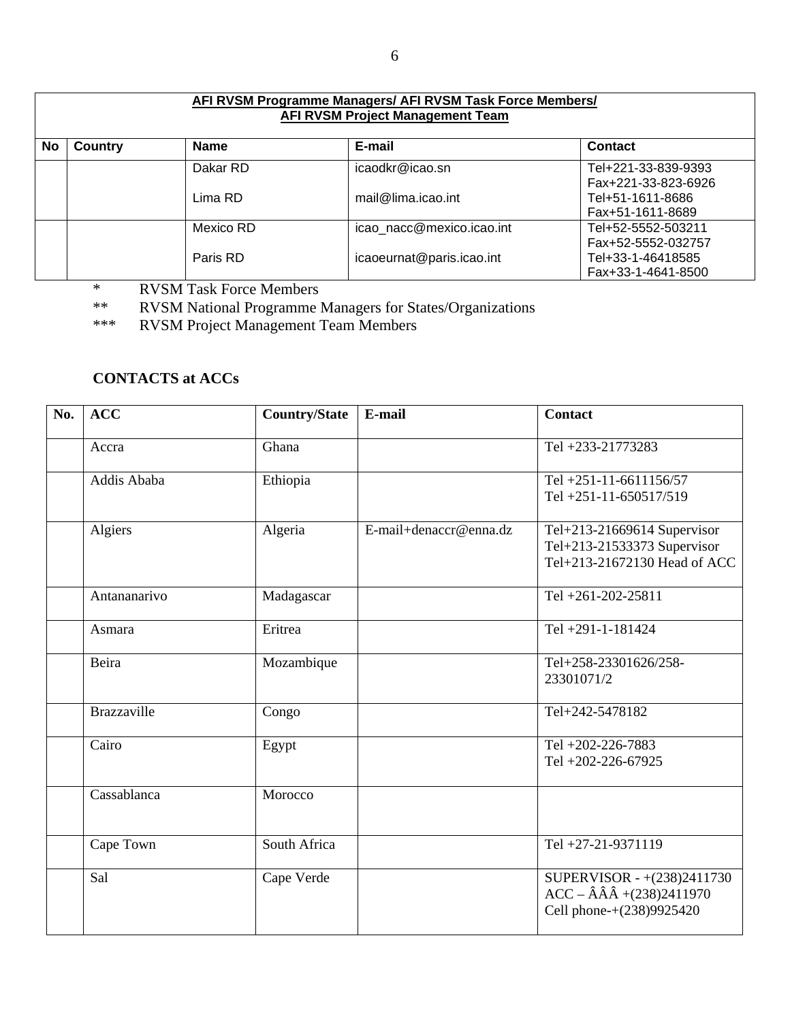|           | AFI RVSM Programme Managers/ AFI RVSM Task Force Members/<br><b>AFI RVSM Project Management Team</b> |             |                           |                                                               |  |
|-----------|------------------------------------------------------------------------------------------------------|-------------|---------------------------|---------------------------------------------------------------|--|
| <b>No</b> | Country                                                                                              | <b>Name</b> | E-mail                    | <b>Contact</b>                                                |  |
|           |                                                                                                      | Dakar RD    | icaodkr@icao.sn           | Tel+221-33-839-9393<br>Fax+221-33-823-6926                    |  |
|           |                                                                                                      | Lima RD     | mail@lima.icao.int        | Tel+51-1611-8686<br>Fax+51-1611-8689                          |  |
|           |                                                                                                      | Mexico RD   | icao nacc@mexico.icao.int | Tel+52-5552-503211                                            |  |
|           |                                                                                                      | Paris RD    | icaoeurnat@paris.icao.int | Fax+52-5552-032757<br>Tel+33-1-46418585<br>Fax+33-1-4641-8500 |  |

\* RVSM Task Force Members<br>\*\* RVSM National Programme I

\*\* RVSM National Programme Managers for States/Organizations

\*\*\* RVSM Project Management Team Members

## **CONTACTS at ACCs**

| No. | <b>ACC</b>         | <b>Country/State</b> | E-mail                 | <b>Contact</b>                                                                                         |
|-----|--------------------|----------------------|------------------------|--------------------------------------------------------------------------------------------------------|
|     | Accra              | Ghana                |                        | Tel +233-21773283                                                                                      |
|     | Addis Ababa        | Ethiopia             |                        | Tel +251-11-6611156/57<br>Tel +251-11-650517/519                                                       |
|     | Algiers            | Algeria              | E-mail+denaccr@enna.dz | Tel+213-21669614 Supervisor<br>Tel+213-21533373 Supervisor<br>Tel+213-21672130 Head of ACC             |
|     | Antananarivo       | Madagascar           |                        | Tel +261-202-25811                                                                                     |
|     | Asmara             | Eritrea              |                        | Tel +291-1-181424                                                                                      |
|     | Beira              | Mozambique           |                        | Tel+258-23301626/258-<br>23301071/2                                                                    |
|     | <b>Brazzaville</b> | Congo                |                        | Tel+242-5478182                                                                                        |
|     | Cairo              | Egypt                |                        | Tel +202-226-7883<br>Tel +202-226-67925                                                                |
|     | Cassablanca        | Morocco              |                        |                                                                                                        |
|     | Cape Town          | South Africa         |                        | Tel +27-21-9371119                                                                                     |
|     | Sal                | Cape Verde           |                        | SUPERVISOR - +(238)2411730<br>$ACC - \hat{A}\hat{A}\hat{A} + (238)2411970$<br>Cell phone-+(238)9925420 |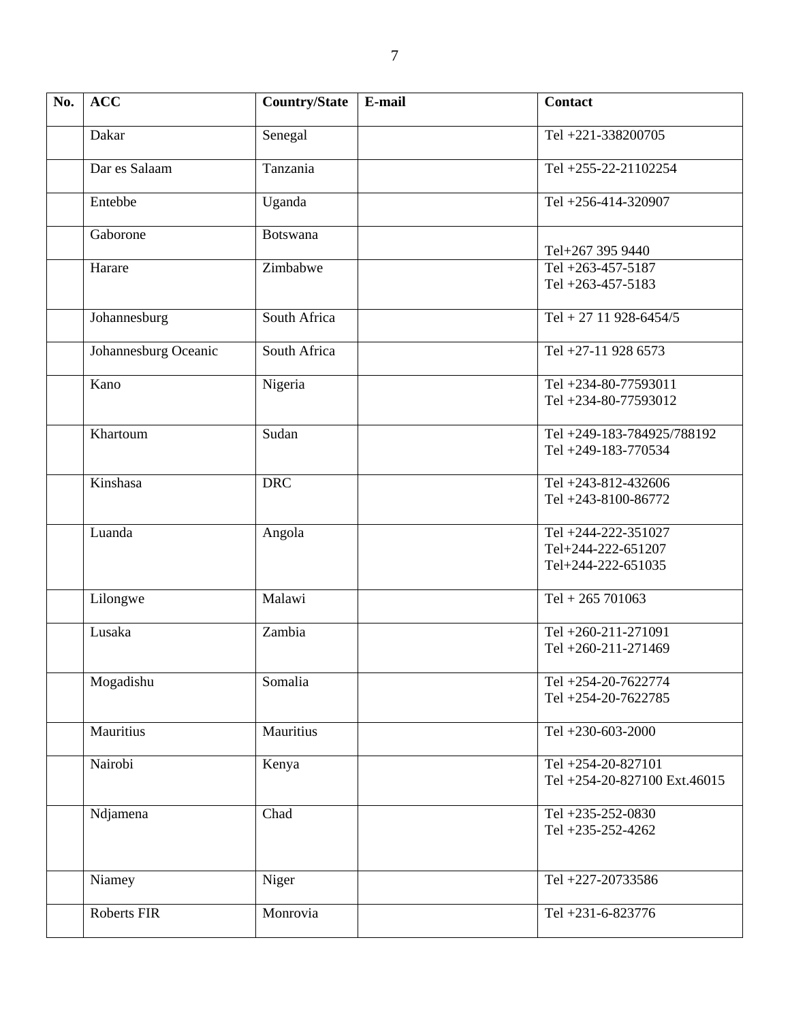| No. | <b>ACC</b>           | <b>Country/State</b> | E-mail | <b>Contact</b>                                                  |
|-----|----------------------|----------------------|--------|-----------------------------------------------------------------|
|     | Dakar                | Senegal              |        | Tel +221-338200705                                              |
|     | Dar es Salaam        | Tanzania             |        | Tel +255-22-21102254                                            |
|     | Entebbe              | Uganda               |        | Tel +256-414-320907                                             |
|     | Gaborone             | <b>Botswana</b>      |        | Tel+267 395 9440                                                |
|     | Harare               | Zimbabwe             |        | Tel +263-457-5187<br>Tel +263-457-5183                          |
|     | Johannesburg         | South Africa         |        | Tel + 27 11 928-6454/5                                          |
|     | Johannesburg Oceanic | South Africa         |        | Tel +27-11 928 6573                                             |
|     | Kano                 | Nigeria              |        | Tel +234-80-77593011<br>Tel +234-80-77593012                    |
|     | Khartoum             | Sudan                |        | Tel +249-183-784925/788192<br>Tel +249-183-770534               |
|     | Kinshasa             | <b>DRC</b>           |        | Tel +243-812-432606<br>Tel +243-8100-86772                      |
|     | Luanda               | Angola               |        | Tel +244-222-351027<br>Tel+244-222-651207<br>Tel+244-222-651035 |
|     | Lilongwe             | Malawi               |        | Tel + 265 701063                                                |
|     | Lusaka               | Zambia               |        | Tel +260-211-271091<br>Tel +260-211-271469                      |
|     | Mogadishu            | Somalia              |        | Tel +254-20-7622774<br>Tel +254-20-7622785                      |
|     | Mauritius            | Mauritius            |        | Tel +230-603-2000                                               |
|     | Nairobi              | Kenya                |        | Tel +254-20-827101<br>Tel +254-20-827100 Ext.46015              |
|     | Ndjamena             | Chad                 |        | Tel +235-252-0830<br>Tel +235-252-4262                          |
|     | Niamey               | Niger                |        | Tel +227-20733586                                               |
|     | Roberts FIR          | Monrovia             |        | Tel +231-6-823776                                               |